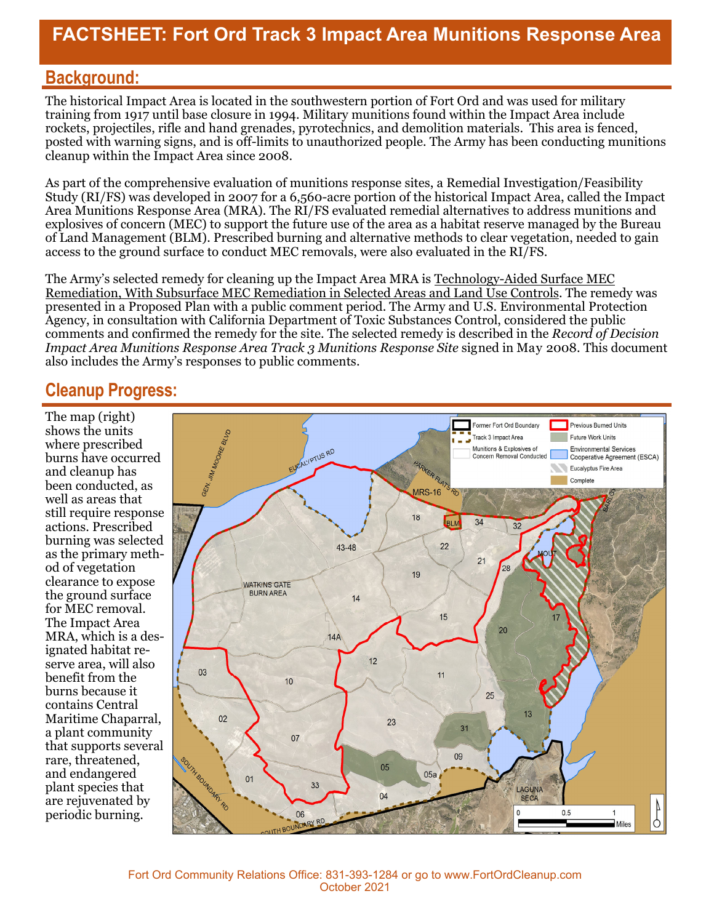## **FACTSHEET: Fort Ord Track 3 Impact Area Munitions Response Area**

#### **Background:**

The historical Impact Area is located in the southwestern portion of Fort Ord and was used for military training from 1917 until base closure in 1994. Military munitions found within the Impact Area include rockets, projectiles, rifle and hand grenades, pyrotechnics, and demolition materials. This area is fenced, posted with warning signs, and is off-limits to unauthorized people. The Army has been conducting munitions cleanup within the Impact Area since 2008.

As part of the comprehensive evaluation of munitions response sites, a Remedial Investigation/Feasibility Study (RI/FS) was developed in 2007 for a 6,560-acre portion of the historical Impact Area, called the Impact Area Munitions Response Area (MRA). The RI/FS evaluated remedial alternatives to address munitions and explosives of concern (MEC) to support the future use of the area as a habitat reserve managed by the Bureau of Land Management (BLM). Prescribed burning and alternative methods to clear vegetation, needed to gain access to the ground surface to conduct MEC removals, were also evaluated in the RI/FS.

The Army's selected remedy for cleaning up the Impact Area MRA is Technology-Aided Surface MEC Remediation, With Subsurface MEC Remediation in Selected Areas and Land Use Controls. The remedy was presented in a Proposed Plan with a public comment period. The Army and U.S. Environmental Protection Agency, in consultation with California Department of Toxic Substances Control, considered the public comments and confirmed the remedy for the site. The selected remedy is described in the *Record of Decision Impact Area Munitions Response Area Track 3 Munitions Response Site signed in May 2008. This document* also includes the Army's responses to public comments.

#### **Cleanup Progress:**

The map (right) shows the units where prescribed burns have occurred and cleanup has been conducted, as well as areas that still require response actions. Prescribed burning was selected as the primary method of vegetation clearance to expose the ground surface for MEC removal. The Impact Area MRA, which is a designated habitat reserve area, will also benefit from the burns because it contains Central Maritime Chaparral, a plant community that supports several rare, threatened, and endangered plant species that are rejuvenated by periodic burning.